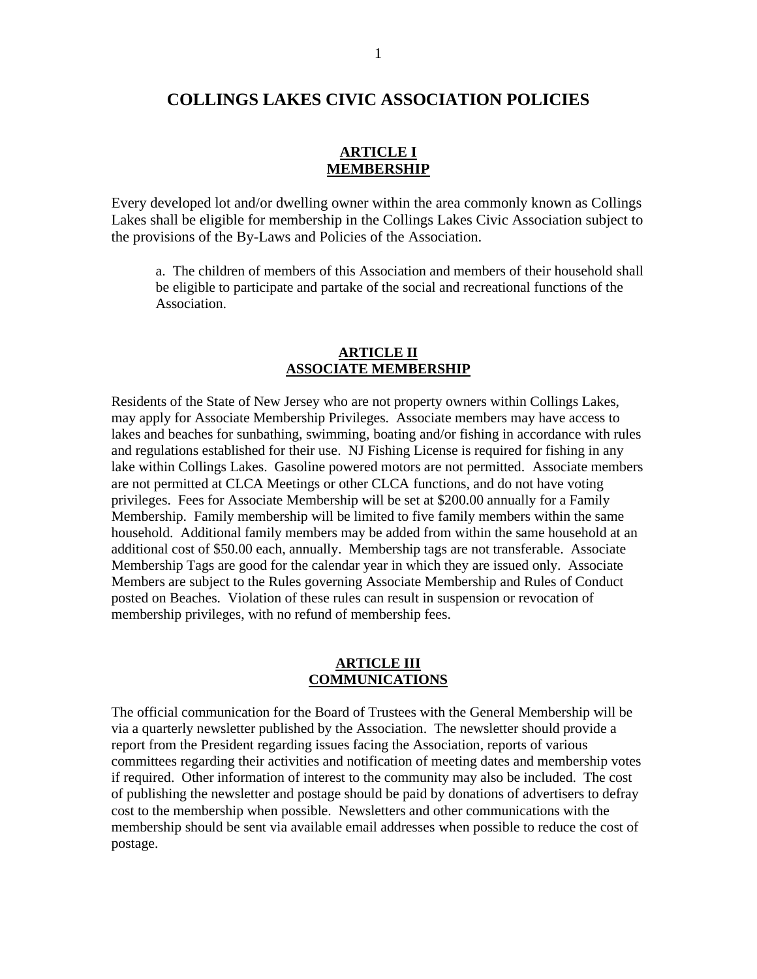# **COLLINGS LAKES CIVIC ASSOCIATION POLICIES**

### **ARTICLE I MEMBERSHIP**

Every developed lot and/or dwelling owner within the area commonly known as Collings Lakes shall be eligible for membership in the Collings Lakes Civic Association subject to the provisions of the By-Laws and Policies of the Association.

a. The children of members of this Association and members of their household shall be eligible to participate and partake of the social and recreational functions of the Association.

#### **ARTICLE II ASSOCIATE MEMBERSHIP**

Residents of the State of New Jersey who are not property owners within Collings Lakes, may apply for Associate Membership Privileges. Associate members may have access to lakes and beaches for sunbathing, swimming, boating and/or fishing in accordance with rules and regulations established for their use. NJ Fishing License is required for fishing in any lake within Collings Lakes. Gasoline powered motors are not permitted. Associate members are not permitted at CLCA Meetings or other CLCA functions, and do not have voting privileges. Fees for Associate Membership will be set at \$200.00 annually for a Family Membership. Family membership will be limited to five family members within the same household. Additional family members may be added from within the same household at an additional cost of \$50.00 each, annually. Membership tags are not transferable. Associate Membership Tags are good for the calendar year in which they are issued only. Associate Members are subject to the Rules governing Associate Membership and Rules of Conduct posted on Beaches. Violation of these rules can result in suspension or revocation of membership privileges, with no refund of membership fees.

#### **ARTICLE III COMMUNICATIONS**

The official communication for the Board of Trustees with the General Membership will be via a quarterly newsletter published by the Association. The newsletter should provide a report from the President regarding issues facing the Association, reports of various committees regarding their activities and notification of meeting dates and membership votes if required. Other information of interest to the community may also be included. The cost of publishing the newsletter and postage should be paid by donations of advertisers to defray cost to the membership when possible. Newsletters and other communications with the membership should be sent via available email addresses when possible to reduce the cost of postage.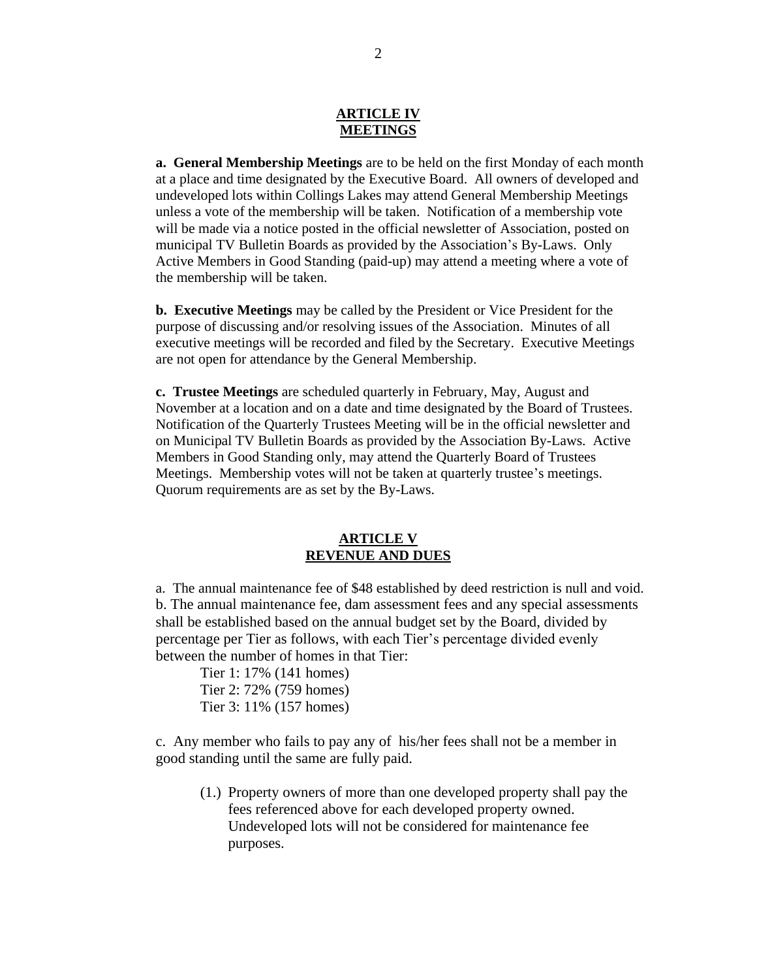#### **ARTICLE IV MEETINGS**

**a. General Membership Meetings** are to be held on the first Monday of each month at a place and time designated by the Executive Board. All owners of developed and undeveloped lots within Collings Lakes may attend General Membership Meetings unless a vote of the membership will be taken. Notification of a membership vote will be made via a notice posted in the official newsletter of Association, posted on municipal TV Bulletin Boards as provided by the Association's By-Laws. Only Active Members in Good Standing (paid-up) may attend a meeting where a vote of the membership will be taken.

**b. Executive Meetings** may be called by the President or Vice President for the purpose of discussing and/or resolving issues of the Association. Minutes of all executive meetings will be recorded and filed by the Secretary. Executive Meetings are not open for attendance by the General Membership.

**c. Trustee Meetings** are scheduled quarterly in February, May, August and November at a location and on a date and time designated by the Board of Trustees. Notification of the Quarterly Trustees Meeting will be in the official newsletter and on Municipal TV Bulletin Boards as provided by the Association By-Laws. Active Members in Good Standing only, may attend the Quarterly Board of Trustees Meetings. Membership votes will not be taken at quarterly trustee's meetings. Quorum requirements are as set by the By-Laws.

### **ARTICLE V REVENUE AND DUES**

a. The annual maintenance fee of \$48 established by deed restriction is null and void. b. The annual maintenance fee, dam assessment fees and any special assessments shall be established based on the annual budget set by the Board, divided by percentage per Tier as follows, with each Tier's percentage divided evenly between the number of homes in that Tier:

Tier 1: 17% (141 homes) Tier 2: 72% (759 homes) Tier 3: 11% (157 homes)

c. Any member who fails to pay any of his/her fees shall not be a member in good standing until the same are fully paid.

(1.) Property owners of more than one developed property shall pay the fees referenced above for each developed property owned. Undeveloped lots will not be considered for maintenance fee purposes.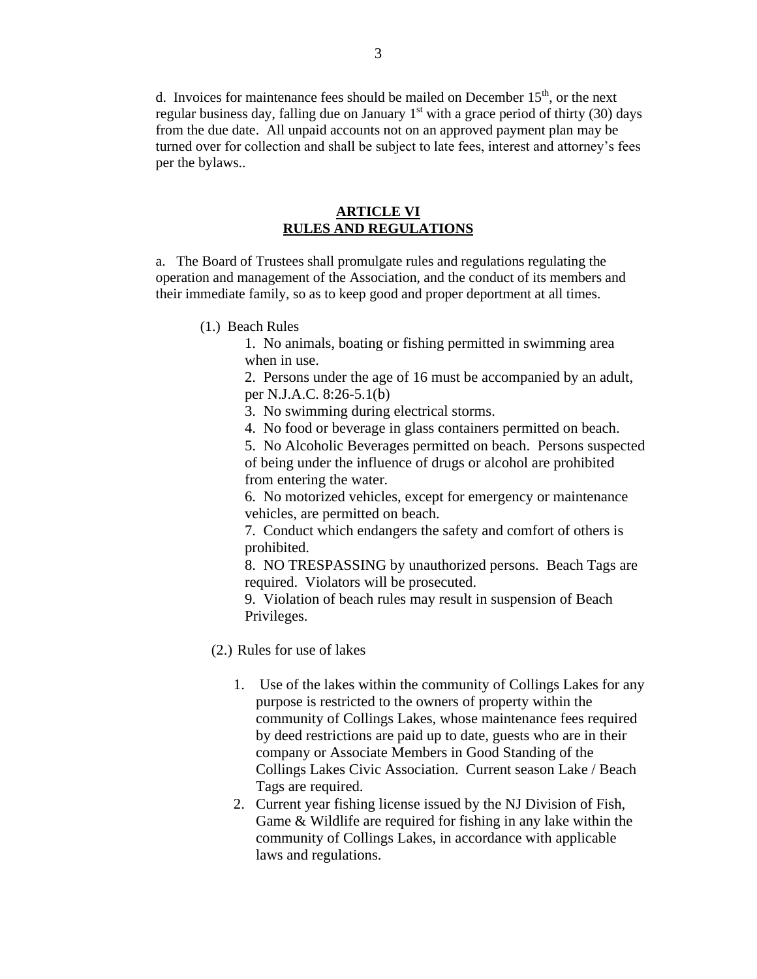d. Invoices for maintenance fees should be mailed on December  $15<sup>th</sup>$ , or the next regular business day, falling due on January  $1<sup>st</sup>$  with a grace period of thirty (30) days from the due date. All unpaid accounts not on an approved payment plan may be turned over for collection and shall be subject to late fees, interest and attorney's fees per the bylaws..

#### **ARTICLE VI RULES AND REGULATIONS**

a.The Board of Trustees shall promulgate rules and regulations regulating the operation and management of the Association, and the conduct of its members and their immediate family, so as to keep good and proper deportment at all times.

(1.) Beach Rules

1. No animals, boating or fishing permitted in swimming area when in use.

2. Persons under the age of 16 must be accompanied by an adult, per N.J.A.C. 8:26-5.1(b)

3. No swimming during electrical storms.

4. No food or beverage in glass containers permitted on beach.

5. No Alcoholic Beverages permitted on beach. Persons suspected of being under the influence of drugs or alcohol are prohibited from entering the water.

6. No motorized vehicles, except for emergency or maintenance vehicles, are permitted on beach.

7. Conduct which endangers the safety and comfort of others is prohibited.

8. NO TRESPASSING by unauthorized persons. Beach Tags are required. Violators will be prosecuted.

9. Violation of beach rules may result in suspension of Beach Privileges.

(2.) Rules for use of lakes

- 1. Use of the lakes within the community of Collings Lakes for any purpose is restricted to the owners of property within the community of Collings Lakes, whose maintenance fees required by deed restrictions are paid up to date, guests who are in their company or Associate Members in Good Standing of the Collings Lakes Civic Association. Current season Lake / Beach Tags are required.
- 2. Current year fishing license issued by the NJ Division of Fish, Game & Wildlife are required for fishing in any lake within the community of Collings Lakes, in accordance with applicable laws and regulations.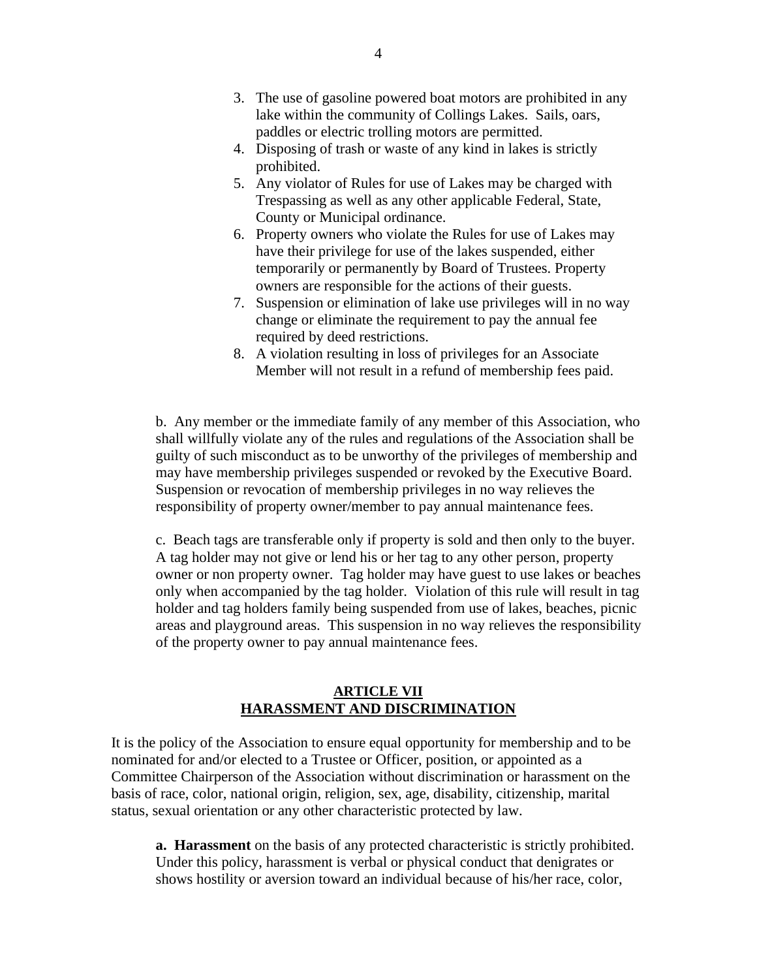- 3. The use of gasoline powered boat motors are prohibited in any lake within the community of Collings Lakes. Sails, oars, paddles or electric trolling motors are permitted.
- 4. Disposing of trash or waste of any kind in lakes is strictly prohibited.
- 5. Any violator of Rules for use of Lakes may be charged with Trespassing as well as any other applicable Federal, State, County or Municipal ordinance.
- 6. Property owners who violate the Rules for use of Lakes may have their privilege for use of the lakes suspended, either temporarily or permanently by Board of Trustees. Property owners are responsible for the actions of their guests.
- 7. Suspension or elimination of lake use privileges will in no way change or eliminate the requirement to pay the annual fee required by deed restrictions.
- 8. A violation resulting in loss of privileges for an Associate Member will not result in a refund of membership fees paid.

b. Any member or the immediate family of any member of this Association, who shall willfully violate any of the rules and regulations of the Association shall be guilty of such misconduct as to be unworthy of the privileges of membership and may have membership privileges suspended or revoked by the Executive Board. Suspension or revocation of membership privileges in no way relieves the responsibility of property owner/member to pay annual maintenance fees.

c. Beach tags are transferable only if property is sold and then only to the buyer. A tag holder may not give or lend his or her tag to any other person, property owner or non property owner. Tag holder may have guest to use lakes or beaches only when accompanied by the tag holder. Violation of this rule will result in tag holder and tag holders family being suspended from use of lakes, beaches, picnic areas and playground areas. This suspension in no way relieves the responsibility of the property owner to pay annual maintenance fees.

## **ARTICLE VII HARASSMENT AND DISCRIMINATION**

It is the policy of the Association to ensure equal opportunity for membership and to be nominated for and/or elected to a Trustee or Officer, position, or appointed as a Committee Chairperson of the Association without discrimination or harassment on the basis of race, color, national origin, religion, sex, age, disability, citizenship, marital status, sexual orientation or any other characteristic protected by law.

**a. Harassment** on the basis of any protected characteristic is strictly prohibited. Under this policy, harassment is verbal or physical conduct that denigrates or shows hostility or aversion toward an individual because of his/her race, color,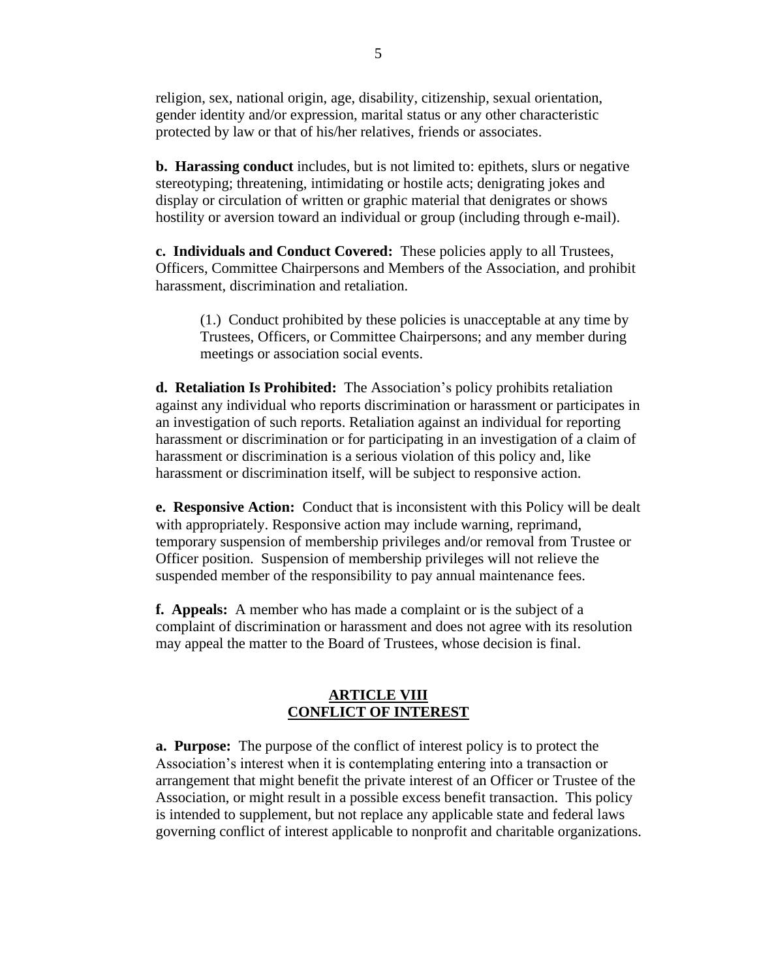religion, sex, national origin, age, disability, citizenship, sexual orientation, gender identity and/or expression, marital status or any other characteristic protected by law or that of his/her relatives, friends or associates.

**b. Harassing conduct** includes, but is not limited to: epithets, slurs or negative stereotyping; threatening, intimidating or hostile acts; denigrating jokes and display or circulation of written or graphic material that denigrates or shows hostility or aversion toward an individual or group (including through e-mail).

**c. Individuals and Conduct Covered:** These policies apply to all Trustees, Officers, Committee Chairpersons and Members of the Association, and prohibit harassment, discrimination and retaliation.

(1.) Conduct prohibited by these policies is unacceptable at any time by Trustees, Officers, or Committee Chairpersons; and any member during meetings or association social events.

**d. Retaliation Is Prohibited:** The Association's policy prohibits retaliation against any individual who reports discrimination or harassment or participates in an investigation of such reports. Retaliation against an individual for reporting harassment or discrimination or for participating in an investigation of a claim of harassment or discrimination is a serious violation of this policy and, like harassment or discrimination itself, will be subject to responsive action.

**e. Responsive Action:** Conduct that is inconsistent with this Policy will be dealt with appropriately. Responsive action may include warning, reprimand, temporary suspension of membership privileges and/or removal from Trustee or Officer position. Suspension of membership privileges will not relieve the suspended member of the responsibility to pay annual maintenance fees.

**f. Appeals:** A member who has made a complaint or is the subject of a complaint of discrimination or harassment and does not agree with its resolution may appeal the matter to the Board of Trustees, whose decision is final.

# **ARTICLE VIII CONFLICT OF INTEREST**

**a. Purpose:** The purpose of the conflict of interest policy is to protect the Association's interest when it is contemplating entering into a transaction or arrangement that might benefit the private interest of an Officer or Trustee of the Association, or might result in a possible excess benefit transaction. This policy is intended to supplement, but not replace any applicable state and federal laws governing conflict of interest applicable to nonprofit and charitable organizations.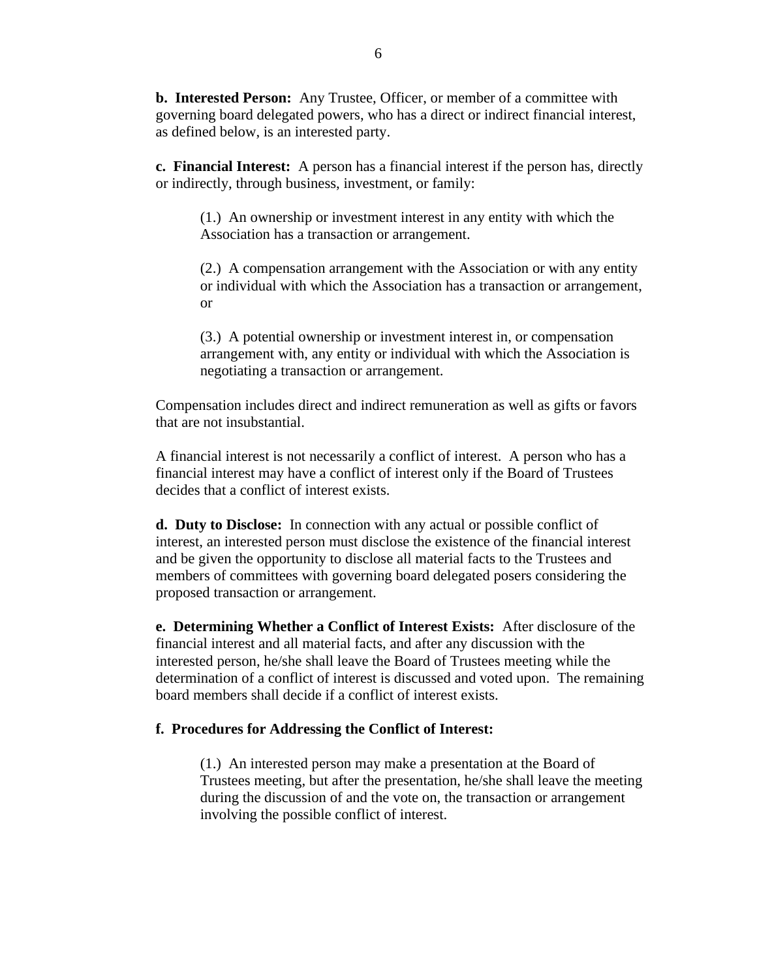**b. Interested Person:** Any Trustee, Officer, or member of a committee with governing board delegated powers, who has a direct or indirect financial interest, as defined below, is an interested party.

**c. Financial Interest:** A person has a financial interest if the person has, directly or indirectly, through business, investment, or family:

(1.) An ownership or investment interest in any entity with which the Association has a transaction or arrangement.

(2.) A compensation arrangement with the Association or with any entity or individual with which the Association has a transaction or arrangement, or

(3.) A potential ownership or investment interest in, or compensation arrangement with, any entity or individual with which the Association is negotiating a transaction or arrangement.

Compensation includes direct and indirect remuneration as well as gifts or favors that are not insubstantial.

A financial interest is not necessarily a conflict of interest. A person who has a financial interest may have a conflict of interest only if the Board of Trustees decides that a conflict of interest exists.

**d. Duty to Disclose:** In connection with any actual or possible conflict of interest, an interested person must disclose the existence of the financial interest and be given the opportunity to disclose all material facts to the Trustees and members of committees with governing board delegated posers considering the proposed transaction or arrangement.

**e. Determining Whether a Conflict of Interest Exists:** After disclosure of the financial interest and all material facts, and after any discussion with the interested person, he/she shall leave the Board of Trustees meeting while the determination of a conflict of interest is discussed and voted upon. The remaining board members shall decide if a conflict of interest exists.

## **f. Procedures for Addressing the Conflict of Interest:**

(1.) An interested person may make a presentation at the Board of Trustees meeting, but after the presentation, he/she shall leave the meeting during the discussion of and the vote on, the transaction or arrangement involving the possible conflict of interest.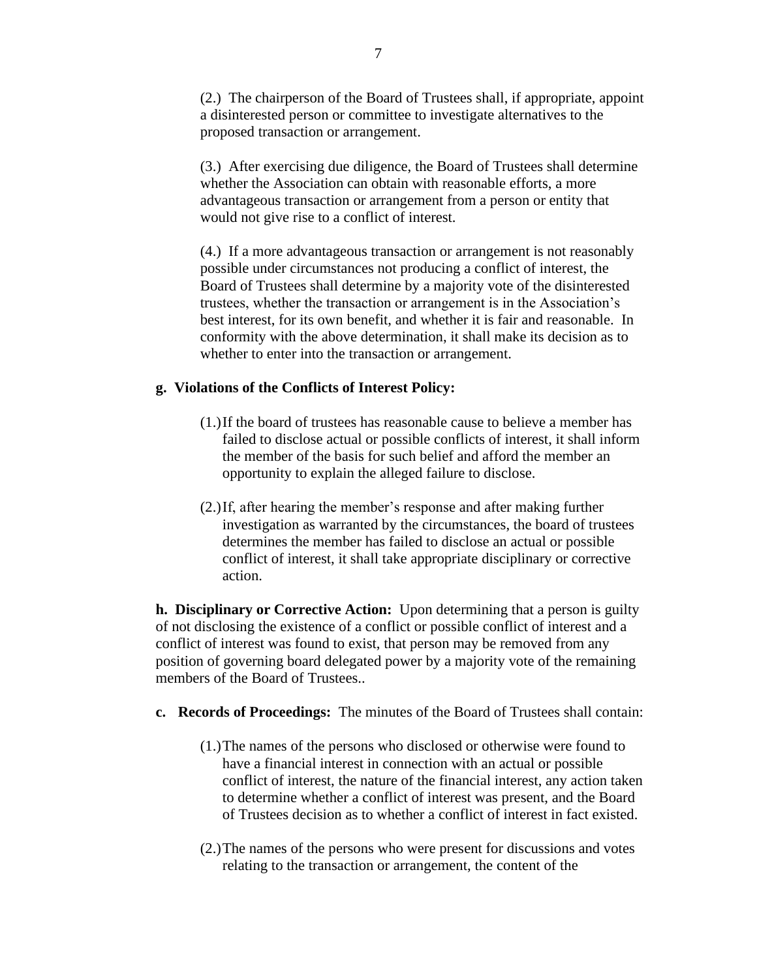(2.) The chairperson of the Board of Trustees shall, if appropriate, appoint a disinterested person or committee to investigate alternatives to the proposed transaction or arrangement.

(3.) After exercising due diligence, the Board of Trustees shall determine whether the Association can obtain with reasonable efforts, a more advantageous transaction or arrangement from a person or entity that would not give rise to a conflict of interest.

(4.) If a more advantageous transaction or arrangement is not reasonably possible under circumstances not producing a conflict of interest, the Board of Trustees shall determine by a majority vote of the disinterested trustees, whether the transaction or arrangement is in the Association's best interest, for its own benefit, and whether it is fair and reasonable. In conformity with the above determination, it shall make its decision as to whether to enter into the transaction or arrangement.

## **g. Violations of the Conflicts of Interest Policy:**

- (1.)If the board of trustees has reasonable cause to believe a member has failed to disclose actual or possible conflicts of interest, it shall inform the member of the basis for such belief and afford the member an opportunity to explain the alleged failure to disclose.
- (2.)If, after hearing the member's response and after making further investigation as warranted by the circumstances, the board of trustees determines the member has failed to disclose an actual or possible conflict of interest, it shall take appropriate disciplinary or corrective action.

**h. Disciplinary or Corrective Action:** Upon determining that a person is guilty of not disclosing the existence of a conflict or possible conflict of interest and a conflict of interest was found to exist, that person may be removed from any position of governing board delegated power by a majority vote of the remaining members of the Board of Trustees..

## **c. Records of Proceedings:** The minutes of the Board of Trustees shall contain:

- (1.)The names of the persons who disclosed or otherwise were found to have a financial interest in connection with an actual or possible conflict of interest, the nature of the financial interest, any action taken to determine whether a conflict of interest was present, and the Board of Trustees decision as to whether a conflict of interest in fact existed.
- (2.)The names of the persons who were present for discussions and votes relating to the transaction or arrangement, the content of the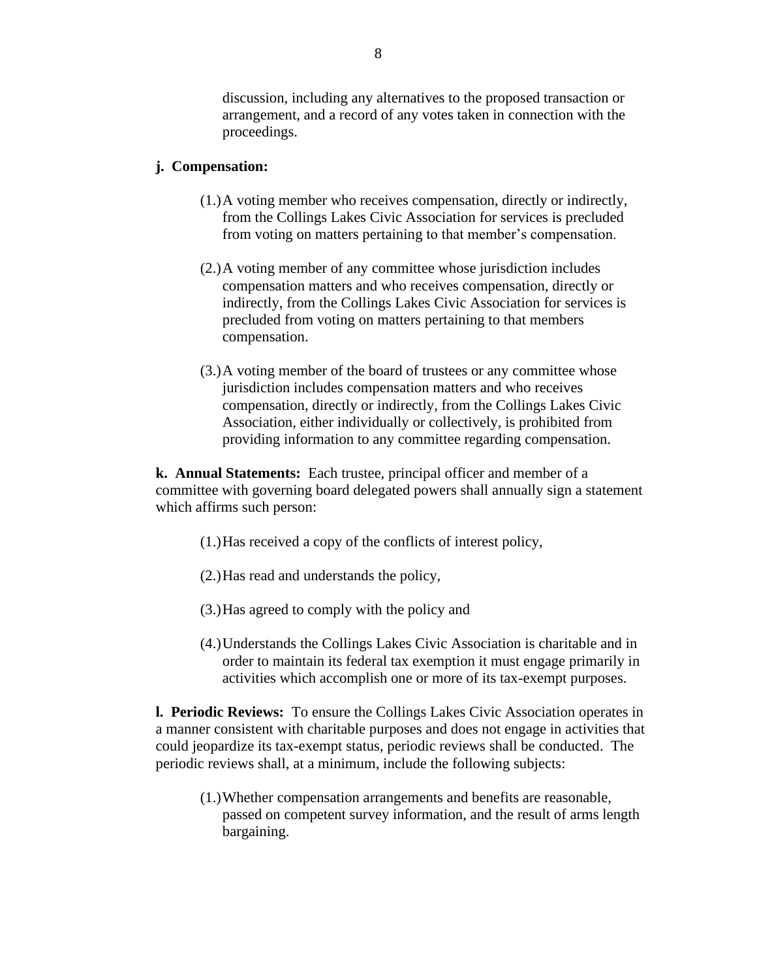discussion, including any alternatives to the proposed transaction or arrangement, and a record of any votes taken in connection with the proceedings.

## **j. Compensation:**

- (1.)A voting member who receives compensation, directly or indirectly, from the Collings Lakes Civic Association for services is precluded from voting on matters pertaining to that member's compensation.
- (2.)A voting member of any committee whose jurisdiction includes compensation matters and who receives compensation, directly or indirectly, from the Collings Lakes Civic Association for services is precluded from voting on matters pertaining to that members compensation.
- (3.)A voting member of the board of trustees or any committee whose jurisdiction includes compensation matters and who receives compensation, directly or indirectly, from the Collings Lakes Civic Association, either individually or collectively, is prohibited from providing information to any committee regarding compensation.

**k. Annual Statements:** Each trustee, principal officer and member of a committee with governing board delegated powers shall annually sign a statement which affirms such person:

- (1.)Has received a copy of the conflicts of interest policy,
- (2.)Has read and understands the policy,
- (3.)Has agreed to comply with the policy and
- (4.)Understands the Collings Lakes Civic Association is charitable and in order to maintain its federal tax exemption it must engage primarily in activities which accomplish one or more of its tax-exempt purposes.

**l. Periodic Reviews:** To ensure the Collings Lakes Civic Association operates in a manner consistent with charitable purposes and does not engage in activities that could jeopardize its tax-exempt status, periodic reviews shall be conducted. The periodic reviews shall, at a minimum, include the following subjects:

(1.)Whether compensation arrangements and benefits are reasonable, passed on competent survey information, and the result of arms length bargaining.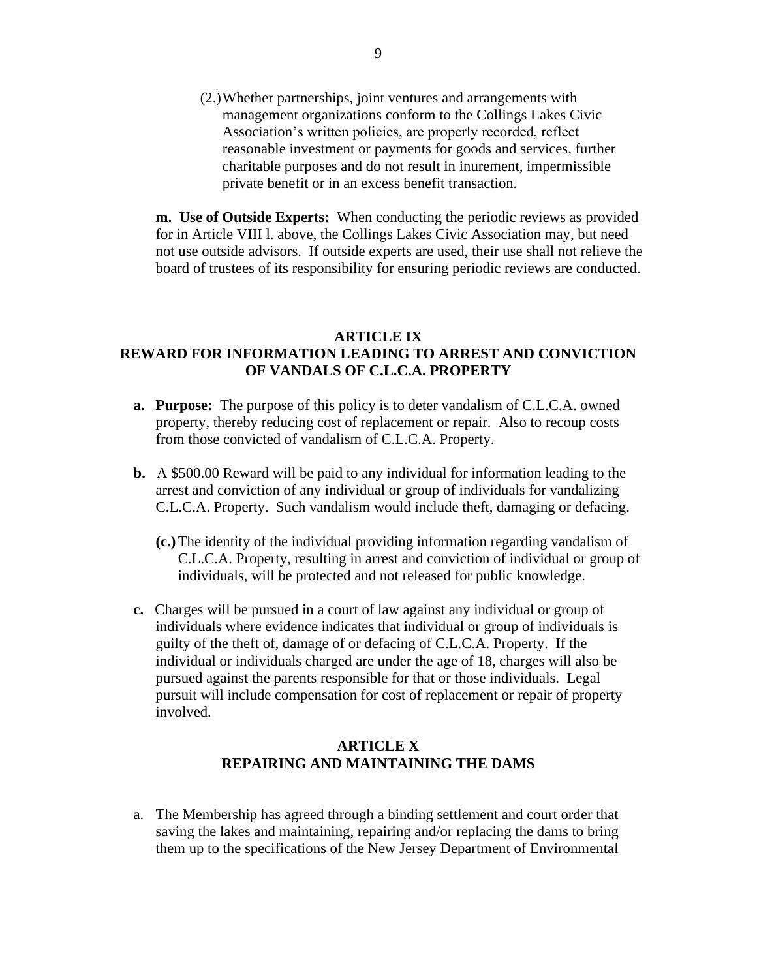(2.)Whether partnerships, joint ventures and arrangements with management organizations conform to the Collings Lakes Civic Association's written policies, are properly recorded, reflect reasonable investment or payments for goods and services, further charitable purposes and do not result in inurement, impermissible private benefit or in an excess benefit transaction.

**m. Use of Outside Experts:** When conducting the periodic reviews as provided for in Article VIII l. above, the Collings Lakes Civic Association may, but need not use outside advisors. If outside experts are used, their use shall not relieve the board of trustees of its responsibility for ensuring periodic reviews are conducted.

## **ARTICLE IX REWARD FOR INFORMATION LEADING TO ARREST AND CONVICTION OF VANDALS OF C.L.C.A. PROPERTY**

- **a. Purpose:** The purpose of this policy is to deter vandalism of C.L.C.A. owned property, thereby reducing cost of replacement or repair. Also to recoup costs from those convicted of vandalism of C.L.C.A. Property.
- **b.** A \$500.00 Reward will be paid to any individual for information leading to the arrest and conviction of any individual or group of individuals for vandalizing C.L.C.A. Property. Such vandalism would include theft, damaging or defacing.
	- **(c.)**The identity of the individual providing information regarding vandalism of C.L.C.A. Property, resulting in arrest and conviction of individual or group of individuals, will be protected and not released for public knowledge.
- **c.** Charges will be pursued in a court of law against any individual or group of individuals where evidence indicates that individual or group of individuals is guilty of the theft of, damage of or defacing of C.L.C.A. Property. If the individual or individuals charged are under the age of 18, charges will also be pursued against the parents responsible for that or those individuals. Legal pursuit will include compensation for cost of replacement or repair of property involved.

# **ARTICLE X REPAIRING AND MAINTAINING THE DAMS**

a. The Membership has agreed through a binding settlement and court order that saving the lakes and maintaining, repairing and/or replacing the dams to bring them up to the specifications of the New Jersey Department of Environmental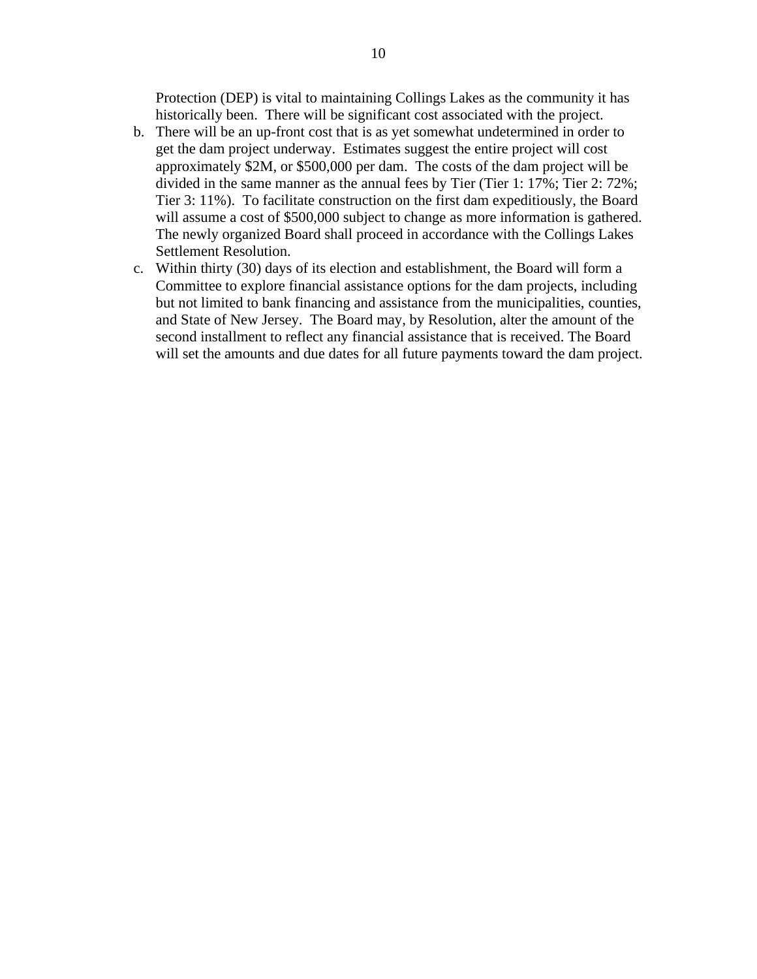Protection (DEP) is vital to maintaining Collings Lakes as the community it has historically been. There will be significant cost associated with the project.

- b. There will be an up-front cost that is as yet somewhat undetermined in order to get the dam project underway. Estimates suggest the entire project will cost approximately \$2M, or \$500,000 per dam. The costs of the dam project will be divided in the same manner as the annual fees by Tier (Tier 1: 17%; Tier 2: 72%; Tier 3: 11%). To facilitate construction on the first dam expeditiously, the Board will assume a cost of \$500,000 subject to change as more information is gathered. The newly organized Board shall proceed in accordance with the Collings Lakes Settlement Resolution.
- c. Within thirty (30) days of its election and establishment, the Board will form a Committee to explore financial assistance options for the dam projects, including but not limited to bank financing and assistance from the municipalities, counties, and State of New Jersey. The Board may, by Resolution, alter the amount of the second installment to reflect any financial assistance that is received. The Board will set the amounts and due dates for all future payments toward the dam project.